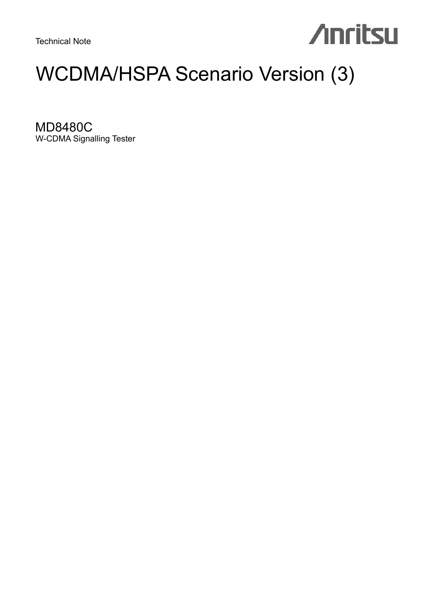Technical Note

# **Anritsu**

# WCDMA/HSPA Scenario Version (3)

MD8480C W-CDMA Signalling Tester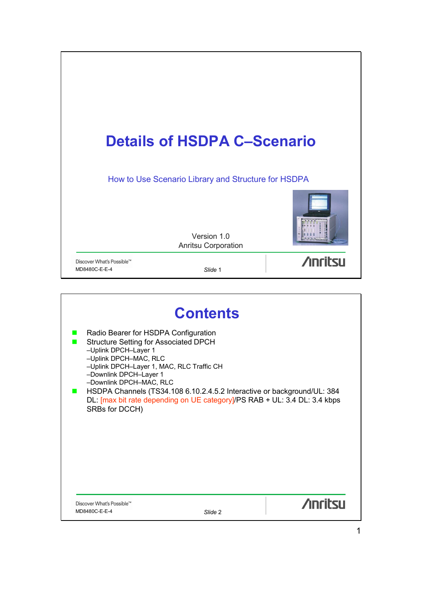

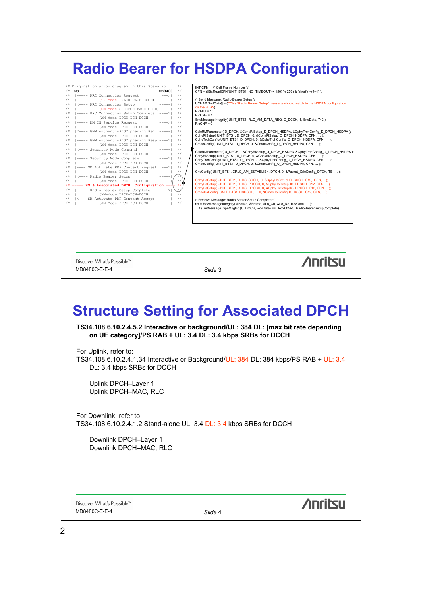# **Radio Bearer for HSDPA Configuration**

# **Structure Setting for Associated DPCH**

**TS34.108 6.10.2.4.5.2 Interactive or background/UL: 384 DL: [max bit rate depending on UE category]/PS RAB + UL: 3.4 DL: 3.4 kbps SRBs for DCCH**

For Uplink, refer to:

TS34.108 6.10.2.4.1.34 Interactive or Background/UL: 384 DL: 384 kbps/PS RAB + UL: 3.4 DL: 3.4 kbps SRBs for DCCH

Uplink DPCH–Layer 1 Uplink DPCH–MAC, RLC

For Downlink, refer to: TS34.108 6.10.2.4.1.2 Stand-alone UL: 3.4 DL: 3.4 kbps SRBs for DCCH

Downlink DPCH–Layer 1 Downlink DPCH–MAC, RLC

Discover What's Possible™ MD8480C-E-E-4 *Slide* 4

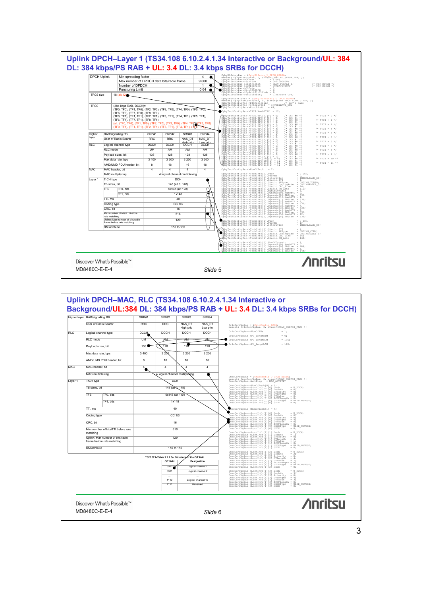



3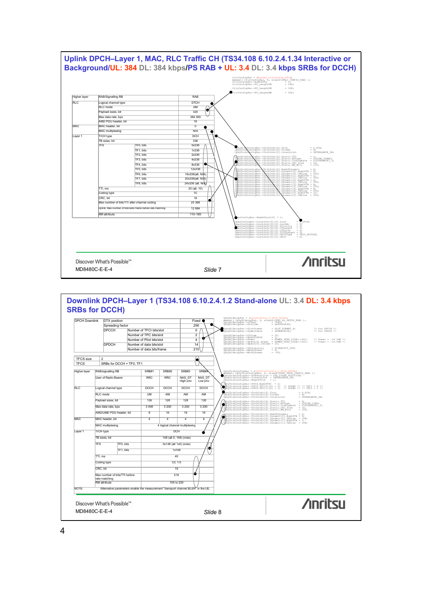

#### **Downlink DPCH–Layer 1 (TS34.108 6.10.2.4.1.2 Stand-alone UL: 3.4 DL: 3.4 kbps SRBs for DCCH)** DPCH Downlink DTX position Fixed Fixed Spreading factor Fixed 256 CphyRlSetupPar = &CphyRlSetupPar<br>memset( CphyRlSetupPar, 0, sizeof(CPHY\_RL\_SETUP\_PAR) );<br>CphyRlSetupPar->ScrCode = 0x00000090;<br>CphyRlSetupPar->ScrCode = 0x00000090;  $\bullet$ Spreading fact<br>DPCCH  $\bullet$  CphyRlSetupPar–>SlotFormat = SLOT\_FORMAT\_4;  $\prime$  for DPCCH \*/<br>CphyRlSetupPar–>SymbolRate = SYMRATE15K;  $\frac{1}{7}$  /\* for DPDCH \*/ Number of TFCI bits/slot  $\overline{0}$ CphyRlSetupPar->Symbols<br>CphyRlSetupPar->ChCode<br>CphyRlSetupPar->ChCode<br>CphyRlSetupPar->NumofPPOCH = POWER 9TEP 01DB(-143); /\* Power = -14.3dB \*/<br>CphyRlSetupPar->Dpdch[0].Power = POWER\_9TEP\_01DB(-143); /\* Power = -14.3dB \*/<br> Number of TPC bits/slot 2 ₩ Number of Pilot bits/slot 4 DPDCH Number of data bits/slot 14 Number of data bits/frame 210CphyRlSetupPar–>TxDiversity = DIVERSITY\_OFF;<br>CphyRlSetupPar–>MaxDLPower = 0;<br>CphyRlSetupPar–>MinDLPower = -99; TFCS size  $\frac{2}{\text{SRBs}}$  for DCCH = TF0, TF1 RAB/signalling RB <br>RAB/signalling RB SRB#1 SRB#2 SRB#3 SRB# CphyTrchConfigPar = SCphyTrchConfig D DPCH HSDPA;<br>memset( CphyTrchConfigPar, 0, sizeof(CPHY TRCH CONFIG PAR) );<br>CphyTrchConfigPar->DTXPosition = DTX FIXED POSTTION;<br>CphyTrchConfigPar->NumOfTrch = 1;<br>CphyTrchConfigPar->NumO User of Radio Bearer RRC RRC RRC NAS\_DT<br>High prio NAS\_DT Low prio CphyTrchConfigPar–>TFCS.NumOfTFC = 2; CphyTrchConfigPar–>TFCS.TFC[0][0] = 0; /\* DCH#0 \*/ /\* TFCI = 0 \*/ CphyTrchConfigPar–>TFCS.TFC[1][0] = 1; /\* DCH#0 \*/ /\* TFCI = 1 \*/ RLC Logical channel type DCCH DCCH DCCH DCCH RLC mode UM AM AM AM PhyTreRoonfigNer-Yrchinfo(0).Tech<br>ChyTreRoonfigNer-Yrchinfo(0).Tech<br>ChyTreRoonfigNer-Yrchinfo(0).ikatio.TY1 = 1NTERLEAVE\_ON;<br>ChyTreRoonfigNer-Yrchinfo(0).Static.TPType = CODING CONV;<br>ChyTreRoonfigNer-Yrchinfo(0).Static.Cod Payload sizes, bit 136 128 128 128  $M$ ax data rate, bps  $3,400$   $3,200$   $3,200$   $3,200$ AMD/UMD PDU header, bit 8 16 16 16 @phyTrchConfigPar->TrchInfo[0].NumOfDynamic\_0 = 2;<br>@hyTrchConfigPar->TrchInfo[0].Dynamic[0].NumOfTB = 0;<br>cdhyTrchConfigPar->TrchInfo[0].Dynamic[0].TBSize = 148;<br>CdhyTrchConfigPar->TrchInfo[0].Dynamic[1].TBSize = 148;<br>CdhyT MAC MAC header, bit 4 4 4 4 MAC multiplexing **Accord 1** 1 logical channel multiplexing Layer 1 TrCH type DCH 2 TB sizes, bit 148 (alt 0, 148) (note) TFS TF0, bits 0x148 (alt 1x0) (note)  $\Theta$  $TFT$ , bits  $1x148$ TTI, ms 40 Coding type CC 1/3 CRC, bit 16 Max number of bits/TTI before 516 rate matching RM attribute 155 to 230 NOTE:<br>NOTE: Alternative parameters enable the measurement "transport channel BLER" in the UE. **/inritsu** Discover What's Possible™ MD8480C-E-E-4 *Slide* 8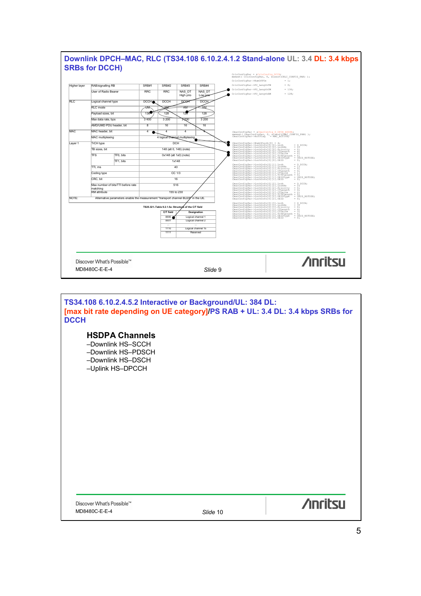

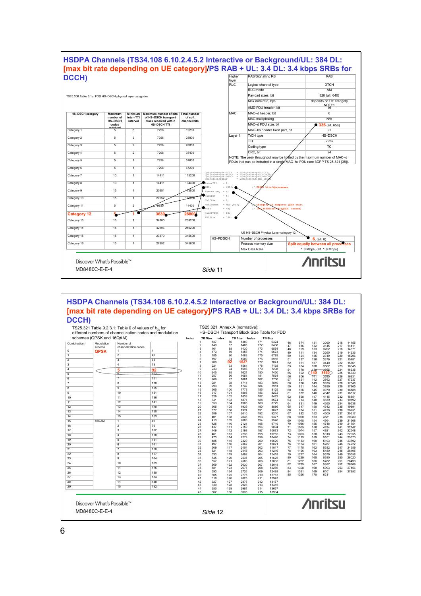

# **HSDPA Channels (TS34.108 6.10.2.4.5.2 Interactive or Background/UL: 384 DL: [max bit rate depending on UE category]/PS RAB + UL: 3.4 DL: 3.4 kbps SRBs for DCCH)**

|                         | schemes (QPSK and 16QAM)  |                         |     | Index |                     | TB Size Index |                 | TB Size Index |            | <b>TB Size</b> |          |              |            |                |            |                |
|-------------------------|---------------------------|-------------------------|-----|-------|---------------------|---------------|-----------------|---------------|------------|----------------|----------|--------------|------------|----------------|------------|----------------|
| Combination i           | Modulation                | Number of               |     |       | 1<br>$\overline{2}$ | 137           | 86<br>87        | 1380          | 171        | 6324<br>6438   | 46       | 674          | 131        | 3090           | 216        | 14155          |
|                         | scheme                    | channelization codes    |     |       | 3                   | 149<br>161    | 88              | 1405<br>1430  | 172<br>173 | 6554           | 47<br>48 | 686<br>699   | 132<br>133 | 3145<br>3202   | 217<br>218 | 14411<br>14671 |
| $\overline{0}$          | <b>QPSK</b>               | $\mathbf{1}$            | 1   |       | 4                   | 173           | 89              | 1456          | 174        | 6673           | 49       | 711          | 134        | 3260           | 219        | 14936          |
| $\overline{1}$          |                           | $\overline{2}$          | 40  |       | 5                   | 185           | 90              | 1483          | 175        | 6793           | 50       | 724          | 135        | 3319           | 220        | 15206          |
| $\overline{2}$          |                           | $\overline{\mathbf{3}}$ | 63  |       | 6<br>$\overline{7}$ | 197<br>209    | $\frac{91}{92}$ | 1509<br>1537  | 176<br>177 | 6916<br>7041   | 51       | 737          | 136        | 3379           | 221        | 15481          |
| $\overline{\mathbf{3}}$ |                           | $\overline{4}$          | 79  |       | 8                   | 221           | 93              | 1564          | 178        | 7168           | 52<br>53 | 751<br>764   | 137<br>138 | 3440<br>3502   | 222<br>223 | 15761<br>16045 |
| $\overline{4}$          |                           | 5                       | 92  |       | 9                   | 233           | 94              | 1593          | 179        | 7298           | 54       | 778          | 139        | 3565           | 224        | 16335          |
| $\overline{5}$          |                           | $\overline{a}$          | 102 |       | 10                  | 245           | 95              | 1621          | 180        | 7430           | 55       | 792          | 140        | 3630           | 225        | 16630          |
| 6                       |                           | $\overline{7}$          | 111 |       | 11<br>12            | 257<br>269    | 96<br>97        | 1651<br>1681  | 181<br>182 | 7564<br>7700   | 56<br>57 | 806          | 141<br>142 | 3695<br>3762   | 226<br>227 | 16931          |
| $\overline{7}$          |                           | $\overline{\mathbf{8}}$ | 118 |       | 13                  | 281           | 98              | 1711          | 183        | 7840           | 58       | 821<br>836   | 143        | 3830           | 228        | 17237<br>17548 |
| $\overline{8}$          |                           | 9                       | 125 |       | 14                  | 293           | 99              | 1742          | 184        | 7981           | 59       | 851          | 144        | 3899           | 229        | 17865          |
|                         |                           | 10                      |     |       | 15                  | 305           | 100             | 1773          | 185        | 8125           | 60       | 866          | 145        | 3970           | 230        | 18188          |
| $\overline{9}$          |                           |                         | 131 |       | 16<br>17            | 317<br>329    | 101<br>102      | 1805<br>1838  | 186<br>187 | 8272<br>8422   | 61<br>62 | 882<br>898   | 146<br>147 | 4042<br>4115   | 231<br>232 | 18517<br>18851 |
| 10                      |                           | 11                      | 136 |       | 18                  | 341           | 103             | 1871          | 188        | 8574           | 63       | 914          | 148        | 4189           | 233        | 19192          |
| 11                      |                           | 12                      | 141 |       | 19                  | 353           | 104             | 1905          | 189        | 8729           | 64       | 931          | 149        | 4265           | 234        | 19538          |
| 12                      |                           | 13                      | 145 |       | 20                  | 365           | 105             | 1939          | 190        | 8886           | 65       | 947          | 150        | 4342           | 235        | 19891          |
| 13                      |                           | 14                      | 150 |       | 21<br>22            | 377<br>389    | 106<br>107      | 1974<br>2010  | 191<br>192 | 9047<br>9210   | 66<br>67 | 964<br>982   | 151<br>152 | 4420<br>4500   | 236<br>237 | 20251<br>20617 |
| 14                      |                           | 15                      | 153 |       | 23                  | 401           | 108             | 2046          | 193        | 9377           | 68       | 1000         | 153        | 4581           | 238        | 20989          |
| 15                      | 16QAM                     | $\overline{1}$          | 40  |       | 24                  | 413           | 109             | 2083          | 194        | 9546           | 69       | 1018         | 154        | 4664           | 239        | 21368          |
| 16                      |                           | $\overline{2}$          | 79  |       | 25                  | 425           | 110             | 2121          | 195        | 9719           | 70       | 1036         | 155        | 4748           | 240        | 21754          |
| 17                      |                           | $\overline{\mathbf{3}}$ | 102 |       | 26<br>27            | 437<br>449    | 111<br>112      | 2159<br>2198  | 196<br>197 | 9894<br>10073  | 71<br>72 | 1055<br>1074 | 156<br>157 | 4834<br>4921   | 241<br>242 | 22147<br>22548 |
| 18                      |                           | $\overline{4}$          | 118 |       | 28                  | 461           | 113             | 2238          | 198        | 10255          | 73       | 1093         | 158        | 5010           | 243        | 22955          |
| 19                      |                           | $\overline{5}$          | 131 |       | 29                  | 473           | 114             | 2279          | 199        | 10440          | 74       | 1113         | 159        | 5101           | 244        | 23370          |
|                         |                           |                         |     |       | 30                  | 485           | 115             | 2320          | 200        | 10629          | 75       | 1133         | 160        | 5193           | 245        | 23792          |
| 20                      |                           | 6                       | 141 |       | 31<br>32            | 497<br>509    | 116<br>117      | 2362<br>2404  | 201<br>202 | 10821<br>11017 | 76<br>77 | 1154<br>1175 | 161<br>162 | 5287<br>5382   | 246<br>247 | 24222<br>24659 |
| 21                      |                           | $\overline{7}$          | 150 |       | 33                  | 521           | 118             | 2448          | 203        | 11216          | 78       | 1196         | 163        | 5480           | 248        | 25105          |
| 22                      |                           | $\overline{8}$          | 157 |       | 34                  | 533           | 119             | 2492          | 204        | 11418          | 79       | 1217         | 164        | 5579           | 249        | 25558          |
| 23                      |                           | $\overline{9}$          | 164 |       | 35                  | 545           | 120             | 2537          | 205        | 11625          | 80       | 1239         | 165        | 5680           | 250        | 26020          |
| 24                      |                           | 10                      | 169 |       | 36<br>37            | 557<br>569    | 121<br>122      | 2583<br>2630  | 206<br>207 | 11835<br>12048 | 81<br>82 | 1262<br>1285 | 166<br>167 | 5782<br>5887   | 251<br>252 | 26490<br>26969 |
| 25                      |                           | 11                      | 175 |       | 38                  | 581           | 123             | 2677          | 208        | 12266          | 83       | 1308         | 168        | 5993           | 253        | 27456          |
| 26                      |                           | 12                      | 180 |       | 39                  | 593           | 124             | 2726          | 209        | 12488          | 84       | 1331         | 169        | 6101           | 254        | 27952          |
| 27                      |                           | 13                      | 184 |       | 40                  | 605           | 125             | 2775          | 210        | 12713          | 85       | 1356         | 170        | 6211           |            |                |
| 28                      |                           | 14                      | 188 |       | 41<br>42            | 616<br>627    | 126<br>127      | 2825<br>2876  | 211<br>212 | 12943<br>13177 |          |              |            |                |            |                |
| 29                      |                           | 15                      | 192 |       | 43                  | 639           | 128             | 2928          | 213        | 13415          |          |              |            |                |            |                |
|                         |                           |                         |     |       | 44                  | 650           | 129             | 2981          | 214        | 13657          |          |              |            |                |            |                |
|                         |                           |                         |     |       | 45                  | 662           | 130             | 3035          | 215        | 13904          |          |              |            |                |            |                |
|                         |                           |                         |     |       |                     |               |                 |               |            |                |          |              |            | <b>Anritsu</b> |            |                |
|                         | Discover What's Possible™ |                         |     |       |                     |               |                 |               |            |                |          |              |            |                |            |                |
| MD8480C-E-E-4           |                           |                         |     |       | Slide 12            |               |                 |               |            |                |          |              |            |                |            |                |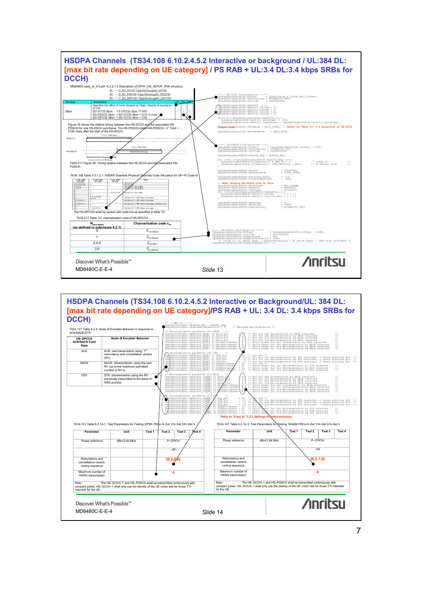

# **HSDPA Channels (TS34.108 6.10.2.4.5.2 Interactive or Background/UL: 384 DL: [max bit rate depending on UE category]/PS RAB + UL: 3.4 DL: 3.4 kbps SRBs for**  DCCH)

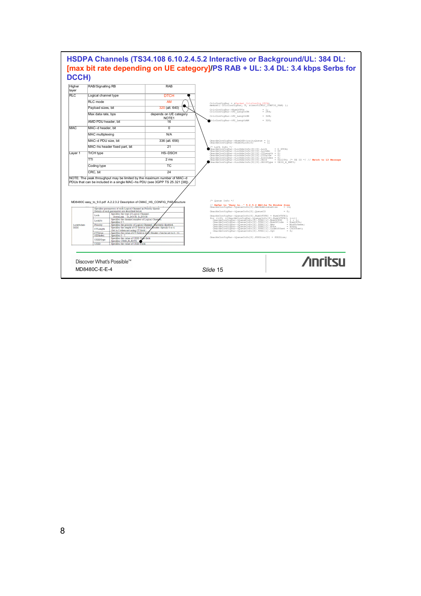| layer<br>RIC<br>RLC mode<br><b>MAC</b><br>TrCH type<br>Layer 1<br>TTI<br>Coding type<br>CRC, bit<br>Loch | Logical channel type<br>Payload sizes, bit<br>Max data rate, bps<br>AMD PDU header, bit<br>MAC-d header, bit<br>MAC multiplexing<br>MAC-d PDU size, bit<br>MAC-hs header fixed part, bit<br>NOTE: The peak throughput may be limited by the maximum number of MAC-d<br>PDUs that can be included in a single MAC-hs PDU (see 3GPP TS 25.321 [38]).                                            | <b>DTCH</b><br><b>AM</b><br>320 (alt. 640)<br>depends on UE category<br>NOTE1<br>16<br>0<br>N/A<br>336 (alt. 656)<br>21<br><b>HS-DSCH</b><br>2 <sub>ms</sub><br><b>TC</b><br>24 | CricConfigPar = &Packet CricConfig DTCH;<br>memset( CricConfigPar, U, sizeof(CRLC CONFIG PAR) );<br>CrlcConfigPar->NumOfPUs<br>CrlcConfigPar->PU LengthTM<br>CrlcConfigPar->PU LengthUM<br>CrlcConfigPar->PU LengthAM<br>CmacHsConfigPar->NumOfPriorityQueue = 1;<br>CmacHsConfigPar->NumOfLoch[0]<br>* LoCh Info */<br>CmacHsConfigPar->LochHsInfo[0][0].Loch<br>CmacHsConfigPar->LochHsInfo[0][0].LochNo<br>$\text{C}$ macHsConfigPar->LochHsInfo[0][0].CTLength = 0;<br>CmacHsConfigPar->LochHsInfo[0][0].CTValue = 0; | $= 1:$<br>$= 244;$<br>$= 328$<br>$= 320:$<br>$= 18$<br>$= D DTCH$<br>$= 07$<br>CmacHsConfigPar->LochHsInfo[0][0].SIDIndex = 0;<br>CmacHsConfigPar->LochHsInfo[0][0].UEID<br>CmacHsConfigPar->LochHsInfo[0][0].UEIDType = UEID_H_RNTI;<br>CmacHsConfigPar->LochHsInfo[0][0].UEIDType = UEID_H_RNTI; |
|----------------------------------------------------------------------------------------------------------|-----------------------------------------------------------------------------------------------------------------------------------------------------------------------------------------------------------------------------------------------------------------------------------------------------------------------------------------------------------------------------------------------|---------------------------------------------------------------------------------------------------------------------------------------------------------------------------------|---------------------------------------------------------------------------------------------------------------------------------------------------------------------------------------------------------------------------------------------------------------------------------------------------------------------------------------------------------------------------------------------------------------------------------------------------------------------------------------------------------------------------|----------------------------------------------------------------------------------------------------------------------------------------------------------------------------------------------------------------------------------------------------------------------------------------------------|
|                                                                                                          |                                                                                                                                                                                                                                                                                                                                                                                               |                                                                                                                                                                                 |                                                                                                                                                                                                                                                                                                                                                                                                                                                                                                                           |                                                                                                                                                                                                                                                                                                    |
|                                                                                                          |                                                                                                                                                                                                                                                                                                                                                                                               |                                                                                                                                                                                 |                                                                                                                                                                                                                                                                                                                                                                                                                                                                                                                           |                                                                                                                                                                                                                                                                                                    |
|                                                                                                          |                                                                                                                                                                                                                                                                                                                                                                                               |                                                                                                                                                                                 |                                                                                                                                                                                                                                                                                                                                                                                                                                                                                                                           |                                                                                                                                                                                                                                                                                                    |
|                                                                                                          |                                                                                                                                                                                                                                                                                                                                                                                               |                                                                                                                                                                                 |                                                                                                                                                                                                                                                                                                                                                                                                                                                                                                                           |                                                                                                                                                                                                                                                                                                    |
|                                                                                                          |                                                                                                                                                                                                                                                                                                                                                                                               |                                                                                                                                                                                 |                                                                                                                                                                                                                                                                                                                                                                                                                                                                                                                           |                                                                                                                                                                                                                                                                                                    |
|                                                                                                          |                                                                                                                                                                                                                                                                                                                                                                                               |                                                                                                                                                                                 |                                                                                                                                                                                                                                                                                                                                                                                                                                                                                                                           |                                                                                                                                                                                                                                                                                                    |
|                                                                                                          |                                                                                                                                                                                                                                                                                                                                                                                               |                                                                                                                                                                                 |                                                                                                                                                                                                                                                                                                                                                                                                                                                                                                                           |                                                                                                                                                                                                                                                                                                    |
|                                                                                                          |                                                                                                                                                                                                                                                                                                                                                                                               |                                                                                                                                                                                 |                                                                                                                                                                                                                                                                                                                                                                                                                                                                                                                           |                                                                                                                                                                                                                                                                                                    |
|                                                                                                          |                                                                                                                                                                                                                                                                                                                                                                                               |                                                                                                                                                                                 |                                                                                                                                                                                                                                                                                                                                                                                                                                                                                                                           |                                                                                                                                                                                                                                                                                                    |
|                                                                                                          |                                                                                                                                                                                                                                                                                                                                                                                               |                                                                                                                                                                                 |                                                                                                                                                                                                                                                                                                                                                                                                                                                                                                                           |                                                                                                                                                                                                                                                                                                    |
|                                                                                                          |                                                                                                                                                                                                                                                                                                                                                                                               |                                                                                                                                                                                 |                                                                                                                                                                                                                                                                                                                                                                                                                                                                                                                           |                                                                                                                                                                                                                                                                                                    |
|                                                                                                          |                                                                                                                                                                                                                                                                                                                                                                                               |                                                                                                                                                                                 |                                                                                                                                                                                                                                                                                                                                                                                                                                                                                                                           |                                                                                                                                                                                                                                                                                                    |
|                                                                                                          |                                                                                                                                                                                                                                                                                                                                                                                               |                                                                                                                                                                                 |                                                                                                                                                                                                                                                                                                                                                                                                                                                                                                                           |                                                                                                                                                                                                                                                                                                    |
|                                                                                                          | MD8480C easy to 9.0.pdf A.2.2.3.2 Description of CMAC HS CONFIG PAR structure<br>Specifies parameters of each Logical Channel in Priority Queue.<br>Details of each parameter are described below.<br>Specifies the type of Logical Channel<br>DownLink : D_DCCH, D_DTCH<br>Specifies the channel number of Logical Chant                                                                     |                                                                                                                                                                                 | $/*$ Oueue Info */<br>// Refer to "Easy to" 5.2.5.2 MAC-hs Tx Window Size<br>CmacHsConfigPar->QueueInfo[0].MACHsWindowSize = 16<br>CmacHsConfiqPar->QueueInfo[0].QueueID<br>CmacHsConfigPar->QueueInfo[0].NumOfTFRI = NumOfTFRI;                                                                                                                                                                                                                                                                                          | $= 165$                                                                                                                                                                                                                                                                                            |
| LochHsInfo<br>[3][3]                                                                                     | LochNo<br>Specifies 0-7<br>Priority<br>Specifies the priority of Logical Channel.<br>Specifies the length of CT field in MAC,<br>CTLength<br>(Set to 0 when not using CT field.)<br><b>CTValue</b><br>SIDIndex<br>Specifies 0 - 7.<br>Specifies the value of UEID Type field.<br>UEIDType<br>Specifies UEID_H_RNTI.<br>UEID<br>Specifies the value of UEID Field<br>Discover What's Possible™ | urrently disabled<br>Header. Specify 0 or 4.<br>Specifies the value of CT field in MAC Header. Can be set to 0 . 15                                                             | For (1-0) 1240macHationFigParticular<br>CmacHsConfigPar->QueueInfo[0].WERI[1].NumOfPDU = 1 + 1;<br>CmacHsConfigPar->QueueInfo[0].TFRI[1].NumOfPDU = 1 + 1;<br>CmacHsConfigPar->QueueInfo[0].TFRI[1].Num9<br>CmacHsConfigPar->QueueInfo<br>CmacHsConfigPar->QueueInfo[0] TFRI[i] Xtbs = Xtbs;<br>CmacHsConfigPar->QueueInfo[0] TFRI[i] CodeOffset = ChOffset;<br>CmacHsConfigPar->QueueInfo[0].TFRI[i].CQI<br>CmacHsConfiqPar->QueueInfo[0].PDUSize[0] = PDUSize;                                                          | = ModScheme;<br>$= 0$ :<br><b>Anritsu</b>                                                                                                                                                                                                                                                          |